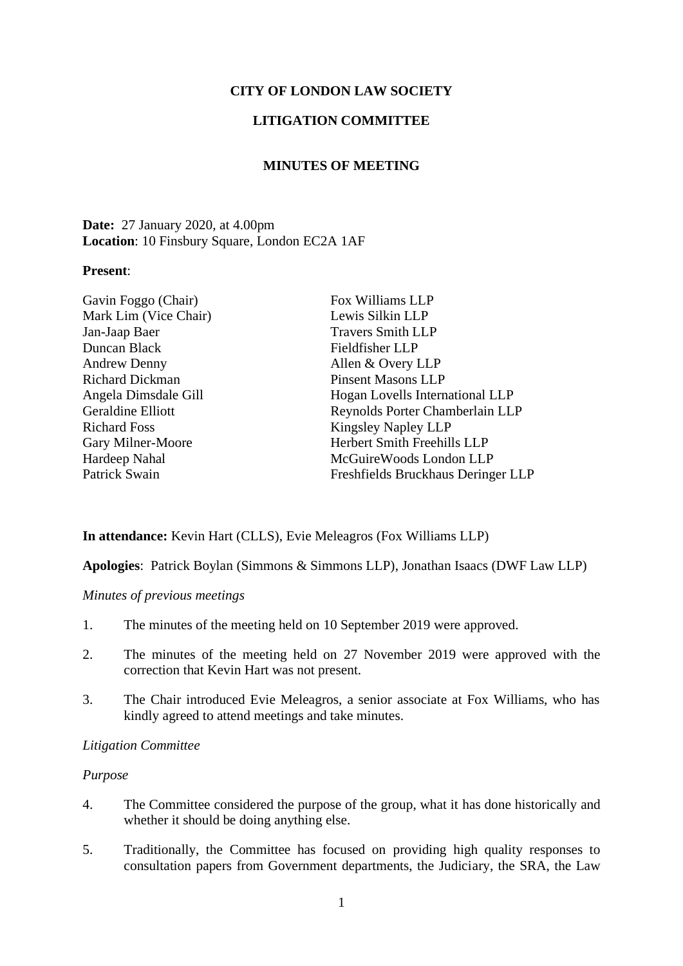# **CITY OF LONDON LAW SOCIETY**

# **LITIGATION COMMITTEE**

## **MINUTES OF MEETING**

# **Date:** 27 January 2020, at 4.00pm **Location**: 10 Finsbury Square, London EC2A 1AF

### **Present**:

| Lewis Silkin LLP                   |
|------------------------------------|
| <b>Travers Smith LLP</b>           |
| Fieldfisher LLP                    |
| Allen & Overy LLP                  |
| <b>Pinsent Masons LLP</b>          |
| Hogan Lovells International LLP    |
| Reynolds Porter Chamberlain LLP    |
| <b>Kingsley Napley LLP</b>         |
| Herbert Smith Freehills LLP        |
| McGuire Woods London LLP           |
| Freshfields Bruckhaus Deringer LLP |
|                                    |

### **In attendance:** Kevin Hart (CLLS), Evie Meleagros (Fox Williams LLP)

**Apologies**: Patrick Boylan (Simmons & Simmons LLP), Jonathan Isaacs (DWF Law LLP)

## *Minutes of previous meetings*

- 1. The minutes of the meeting held on 10 September 2019 were approved.
- 2. The minutes of the meeting held on 27 November 2019 were approved with the correction that Kevin Hart was not present.
- 3. The Chair introduced Evie Meleagros, a senior associate at Fox Williams, who has kindly agreed to attend meetings and take minutes.

#### *Litigation Committee*

#### *Purpose*

- 4. The Committee considered the purpose of the group, what it has done historically and whether it should be doing anything else.
- 5. Traditionally, the Committee has focused on providing high quality responses to consultation papers from Government departments, the Judiciary, the SRA, the Law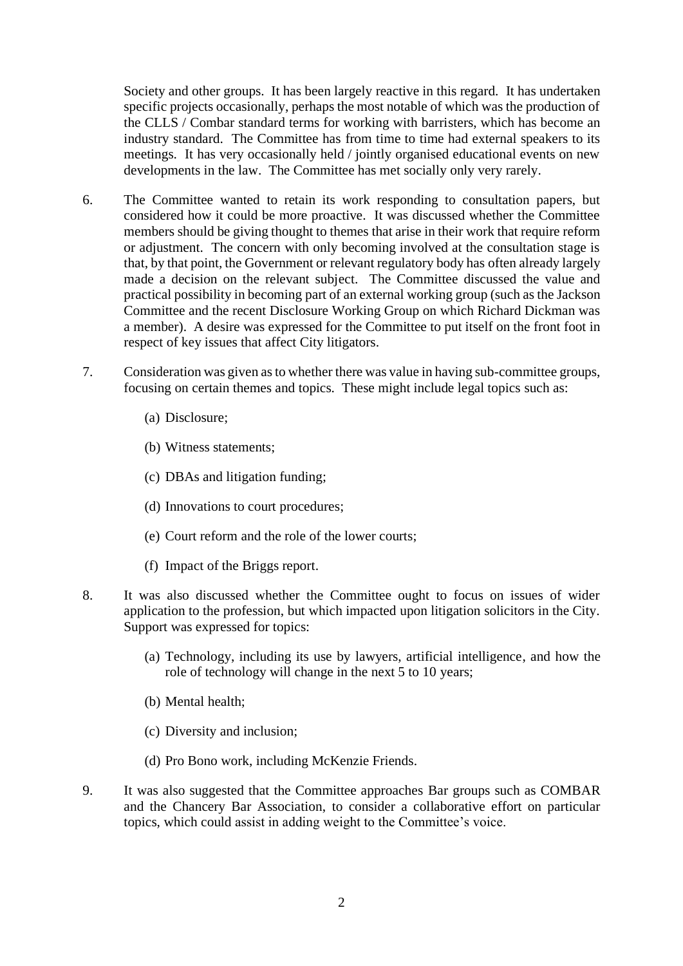Society and other groups. It has been largely reactive in this regard. It has undertaken specific projects occasionally, perhaps the most notable of which was the production of the CLLS / Combar standard terms for working with barristers, which has become an industry standard. The Committee has from time to time had external speakers to its meetings. It has very occasionally held / jointly organised educational events on new developments in the law. The Committee has met socially only very rarely.

- 6. The Committee wanted to retain its work responding to consultation papers, but considered how it could be more proactive. It was discussed whether the Committee members should be giving thought to themes that arise in their work that require reform or adjustment. The concern with only becoming involved at the consultation stage is that, by that point, the Government or relevant regulatory body has often already largely made a decision on the relevant subject. The Committee discussed the value and practical possibility in becoming part of an external working group (such as the Jackson Committee and the recent Disclosure Working Group on which Richard Dickman was a member). A desire was expressed for the Committee to put itself on the front foot in respect of key issues that affect City litigators.
- 7. Consideration was given as to whether there was value in having sub-committee groups, focusing on certain themes and topics. These might include legal topics such as:
	- (a) Disclosure;
	- (b) Witness statements;
	- (c) DBAs and litigation funding;
	- (d) Innovations to court procedures;
	- (e) Court reform and the role of the lower courts;
	- (f) Impact of the Briggs report.
- 8. It was also discussed whether the Committee ought to focus on issues of wider application to the profession, but which impacted upon litigation solicitors in the City. Support was expressed for topics:
	- (a) Technology, including its use by lawyers, artificial intelligence, and how the role of technology will change in the next 5 to 10 years;
	- (b) Mental health;
	- (c) Diversity and inclusion;
	- (d) Pro Bono work, including McKenzie Friends.
- 9. It was also suggested that the Committee approaches Bar groups such as COMBAR and the Chancery Bar Association, to consider a collaborative effort on particular topics, which could assist in adding weight to the Committee's voice.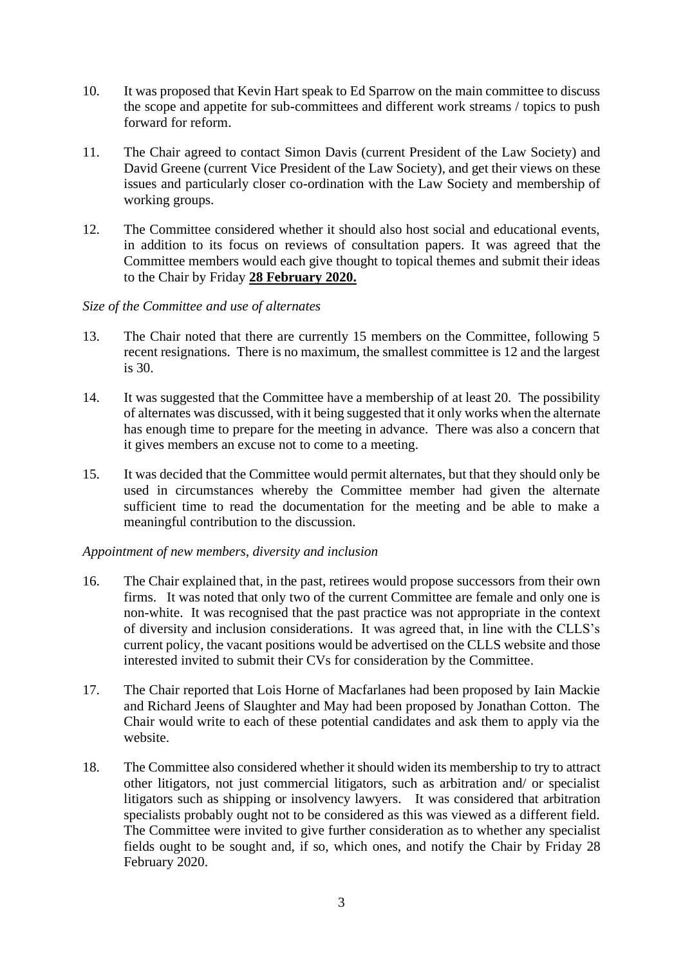- 10. It was proposed that Kevin Hart speak to Ed Sparrow on the main committee to discuss the scope and appetite for sub-committees and different work streams / topics to push forward for reform.
- 11. The Chair agreed to contact Simon Davis (current President of the Law Society) and David Greene (current Vice President of the Law Society), and get their views on these issues and particularly closer co-ordination with the Law Society and membership of working groups.
- 12. The Committee considered whether it should also host social and educational events, in addition to its focus on reviews of consultation papers. It was agreed that the Committee members would each give thought to topical themes and submit their ideas to the Chair by Friday **28 February 2020.**

# *Size of the Committee and use of alternates*

- 13. The Chair noted that there are currently 15 members on the Committee, following 5 recent resignations. There is no maximum, the smallest committee is 12 and the largest is 30.
- 14. It was suggested that the Committee have a membership of at least 20. The possibility of alternates was discussed, with it being suggested that it only works when the alternate has enough time to prepare for the meeting in advance. There was also a concern that it gives members an excuse not to come to a meeting.
- 15. It was decided that the Committee would permit alternates, but that they should only be used in circumstances whereby the Committee member had given the alternate sufficient time to read the documentation for the meeting and be able to make a meaningful contribution to the discussion.

### *Appointment of new members, diversity and inclusion*

- 16. The Chair explained that, in the past, retirees would propose successors from their own firms. It was noted that only two of the current Committee are female and only one is non-white. It was recognised that the past practice was not appropriate in the context of diversity and inclusion considerations. It was agreed that, in line with the CLLS's current policy, the vacant positions would be advertised on the CLLS website and those interested invited to submit their CVs for consideration by the Committee.
- 17. The Chair reported that Lois Horne of Macfarlanes had been proposed by Iain Mackie and Richard Jeens of Slaughter and May had been proposed by Jonathan Cotton. The Chair would write to each of these potential candidates and ask them to apply via the website.
- 18. The Committee also considered whether it should widen its membership to try to attract other litigators, not just commercial litigators, such as arbitration and/ or specialist litigators such as shipping or insolvency lawyers. It was considered that arbitration specialists probably ought not to be considered as this was viewed as a different field. The Committee were invited to give further consideration as to whether any specialist fields ought to be sought and, if so, which ones, and notify the Chair by Friday 28 February 2020.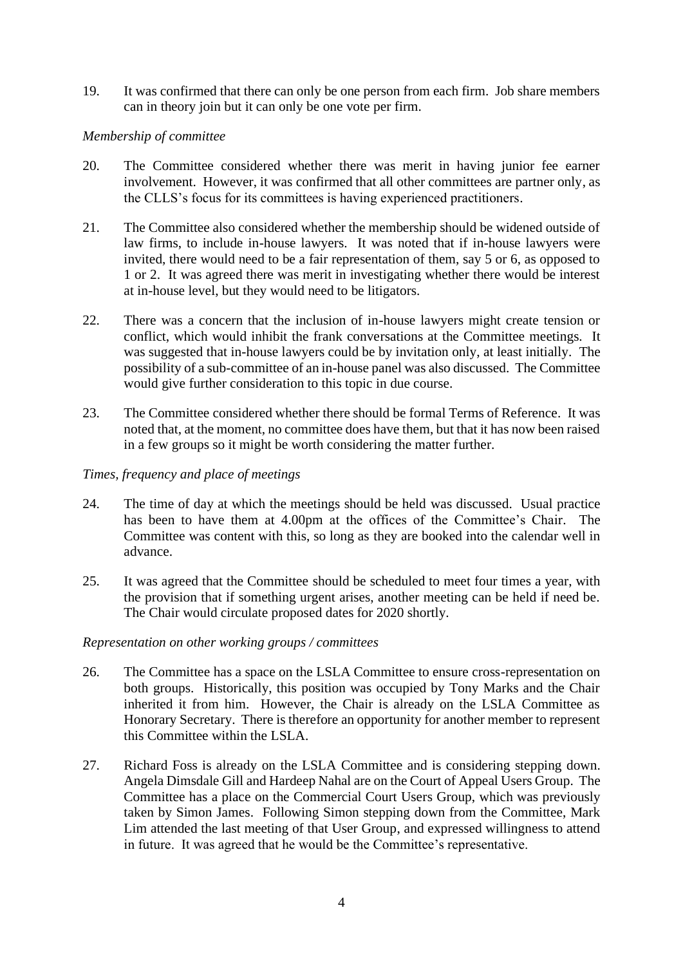19. It was confirmed that there can only be one person from each firm. Job share members can in theory join but it can only be one vote per firm.

## *Membership of committee*

- 20. The Committee considered whether there was merit in having junior fee earner involvement. However, it was confirmed that all other committees are partner only, as the CLLS's focus for its committees is having experienced practitioners.
- 21. The Committee also considered whether the membership should be widened outside of law firms, to include in-house lawyers. It was noted that if in-house lawyers were invited, there would need to be a fair representation of them, say 5 or 6, as opposed to 1 or 2. It was agreed there was merit in investigating whether there would be interest at in-house level, but they would need to be litigators.
- 22. There was a concern that the inclusion of in-house lawyers might create tension or conflict, which would inhibit the frank conversations at the Committee meetings. It was suggested that in-house lawyers could be by invitation only, at least initially. The possibility of a sub-committee of an in-house panel was also discussed. The Committee would give further consideration to this topic in due course.
- 23. The Committee considered whether there should be formal Terms of Reference. It was noted that, at the moment, no committee does have them, but that it has now been raised in a few groups so it might be worth considering the matter further.

# *Times, frequency and place of meetings*

- 24. The time of day at which the meetings should be held was discussed. Usual practice has been to have them at 4.00pm at the offices of the Committee's Chair. The Committee was content with this, so long as they are booked into the calendar well in advance.
- 25. It was agreed that the Committee should be scheduled to meet four times a year, with the provision that if something urgent arises, another meeting can be held if need be. The Chair would circulate proposed dates for 2020 shortly.

### *Representation on other working groups / committees*

- 26. The Committee has a space on the LSLA Committee to ensure cross-representation on both groups. Historically, this position was occupied by Tony Marks and the Chair inherited it from him. However, the Chair is already on the LSLA Committee as Honorary Secretary. There is therefore an opportunity for another member to represent this Committee within the LSLA.
- 27. Richard Foss is already on the LSLA Committee and is considering stepping down. Angela Dimsdale Gill and Hardeep Nahal are on the Court of Appeal Users Group. The Committee has a place on the Commercial Court Users Group, which was previously taken by Simon James. Following Simon stepping down from the Committee, Mark Lim attended the last meeting of that User Group, and expressed willingness to attend in future. It was agreed that he would be the Committee's representative.